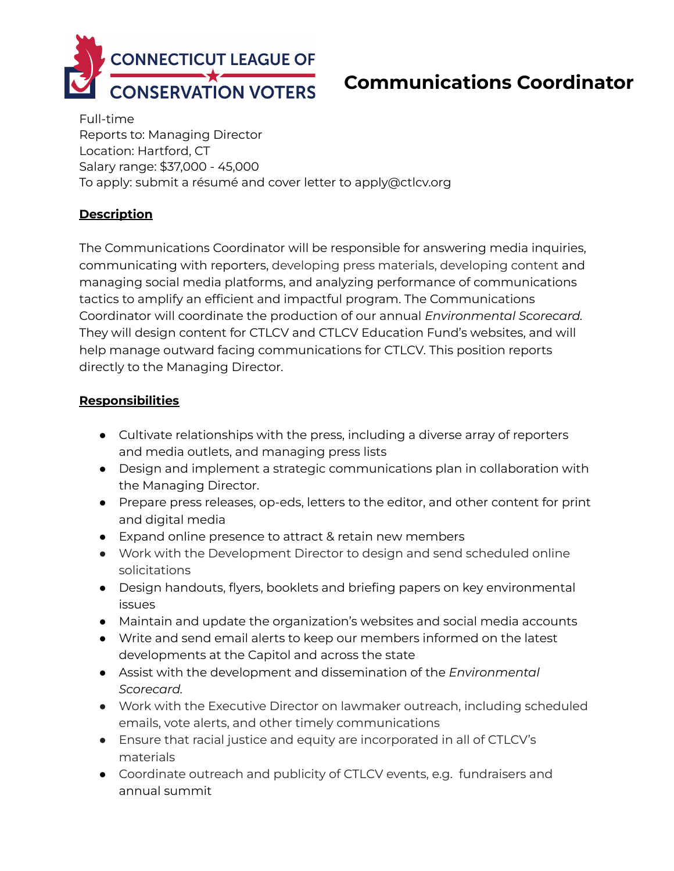

# **Communications Coordinator**

Full-time Reports to: Managing Director Location: Hartford, CT Salary range: \$37,000 - 45,000 To apply: submit a résumé and cover letter to apply@ctlcv.org

## **Description**

The Communications Coordinator will be responsible for answering media inquiries, communicating with reporters, developing press materials, developing content and managing social media platforms, and analyzing performance of communications tactics to amplify an efficient and impactful program. The Communications Coordinator will coordinate the production of our annual *Environmental Scorecard.* They will design content for CTLCV and CTLCV Education Fund's websites, and will help manage outward facing communications for CTLCV. This position reports directly to the Managing Director.

#### **Responsibilities**

- Cultivate relationships with the press, including a diverse array of reporters and media outlets, and managing press lists
- Design and implement a strategic communications plan in collaboration with the Managing Director.
- Prepare press releases, op-eds, letters to the editor, and other content for print and digital media
- Expand online presence to attract & retain new members
- Work with the Development Director to design and send scheduled online solicitations
- Design handouts, flyers, booklets and briefing papers on key environmental issues
- Maintain and update the organization's websites and social media accounts
- Write and send email alerts to keep our members informed on the latest developments at the Capitol and across the state
- Assist with the development and dissemination of the *Environmental Scorecard.*
- Work with the Executive Director on lawmaker outreach, including scheduled emails, vote alerts, and other timely communications
- Ensure that racial justice and equity are incorporated in all of CTLCV's materials
- Coordinate outreach and publicity of CTLCV events, e.g. fundraisers and annual summit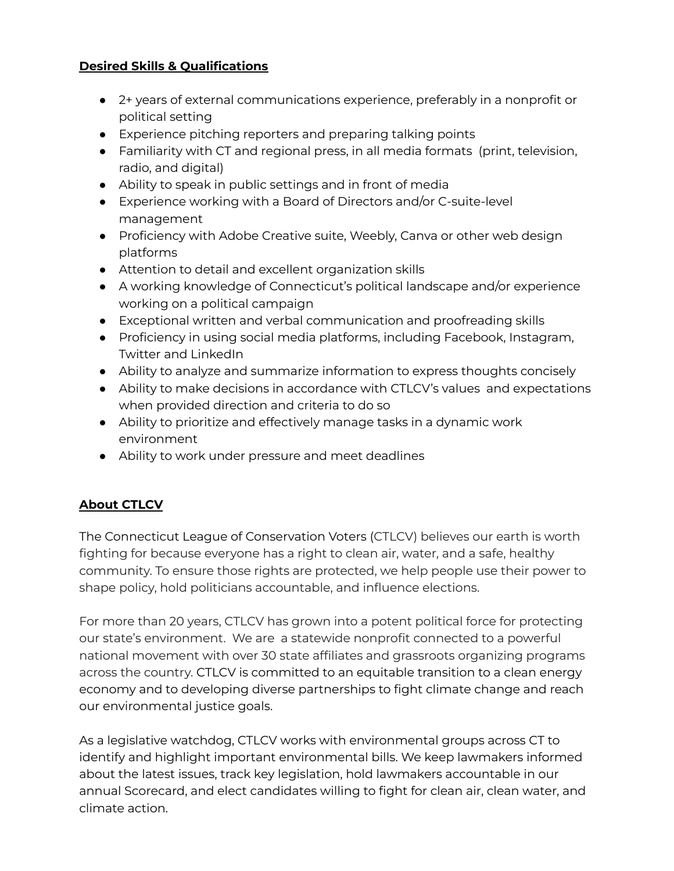## **Desired Skills & Qualifications**

- 2+ years of external communications experience, preferably in a nonprofit or political setting
- Experience pitching reporters and preparing talking points
- Familiarity with CT and regional press, in all media formats (print, television, radio, and digital)
- Ability to speak in public settings and in front of media
- Experience working with a Board of Directors and/or C-suite-level management
- Proficiency with Adobe Creative suite, Weebly, Canva or other web design platforms
- Attention to detail and excellent organization skills
- A working knowledge of Connecticut's political landscape and/or experience working on a political campaign
- Exceptional written and verbal communication and proofreading skills
- **●** Proficiency in using social media platforms, including Facebook, Instagram, Twitter and LinkedIn
- **●** Ability to analyze and summarize information to express thoughts concisely
- **●** Ability to make decisions in accordance with CTLCV's values and expectations when provided direction and criteria to do so
- **●** Ability to prioritize and effectively manage tasks in a dynamic work environment
- **●** Ability to work under pressure and meet deadlines

# **About CTLCV**

The Connecticut League of Conservation Voters (CTLCV) believes our earth is worth fighting for because everyone has a right to clean air, water, and a safe, healthy community. To ensure those rights are protected, we help people use their power to shape policy, hold politicians accountable, and influence elections.

For more than 20 years, CTLCV has grown into a potent political force for protecting our state's environment. We are a statewide nonprofit connected to a powerful national movement with over 30 state affiliates and grassroots organizing programs across the country. CTLCV is committed to an equitable transition to a clean energy economy and to developing diverse partnerships to fight climate change and reach our environmental justice goals.

As a legislative watchdog, CTLCV works with environmental groups across CT to identify and highlight important environmental bills. We keep lawmakers informed about the latest issues, track key legislation, hold lawmakers accountable in our annual Scorecard, and elect candidates willing to fight for clean air, clean water, and climate action.